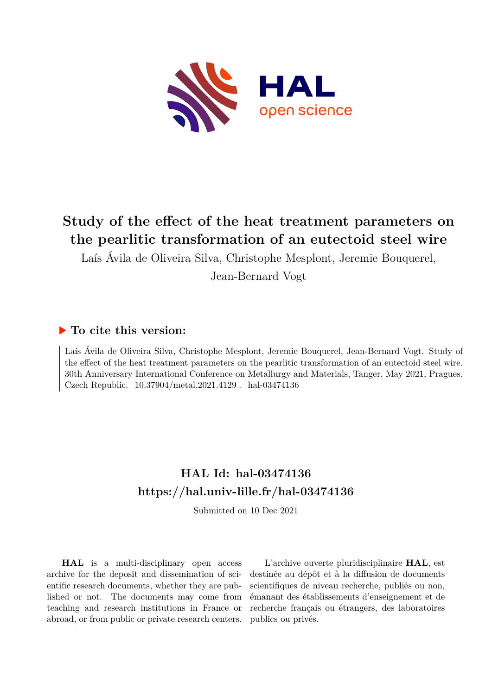

# **Study of the effect of the heat treatment parameters on the pearlitic transformation of an eutectoid steel wire**

Laís Ávila de Oliveira Silva, Christophe Mesplont, Jeremie Bouquerel, Jean-Bernard Vogt

## **To cite this version:**

Laís Ávila de Oliveira Silva, Christophe Mesplont, Jeremie Bouquerel, Jean-Bernard Vogt. Study of the effect of the heat treatment parameters on the pearlitic transformation of an eutectoid steel wire. 30th Anniversary International Conference on Metallurgy and Materials, Tanger, May 2021, Pragues, Czech Republic.  $10.37904/\mathrm{metal}.2021.4129$ . hal-03474136

## **HAL Id: hal-03474136 <https://hal.univ-lille.fr/hal-03474136>**

Submitted on 10 Dec 2021

**HAL** is a multi-disciplinary open access archive for the deposit and dissemination of scientific research documents, whether they are published or not. The documents may come from teaching and research institutions in France or abroad, or from public or private research centers.

L'archive ouverte pluridisciplinaire **HAL**, est destinée au dépôt et à la diffusion de documents scientifiques de niveau recherche, publiés ou non, émanant des établissements d'enseignement et de recherche français ou étrangers, des laboratoires publics ou privés.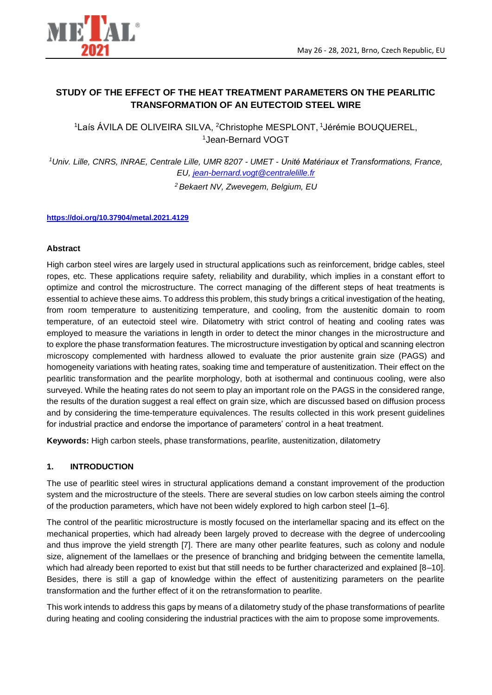

## **STUDY OF THE EFFECT OF THE HEAT TREATMENT PARAMETERS ON THE PEARLITIC TRANSFORMATION OF AN EUTECTOID STEEL WIRE**

<sup>1</sup>Laís ÁVILA DE OLIVEIRA SILVA, <sup>2</sup>Christophe MESPLONT, <sup>1</sup>Jérémie BOUQUEREL, <sup>1</sup>Jean-Bernard VOGT

*<sup>1</sup>Univ. Lille, CNRS, INRAE, Centrale Lille, UMR 8207 - UMET - Unité Matériaux et Transformations, France, EU, [jean-bernard.vogt@centralelille.fr](mailto:jean-bernard.vogt@centralelille.fr)*

*<sup>2</sup> Bekaert NV, Zwevegem, Belgium, EU*

#### **<https://doi.org/10.37904/metal.2021.4129>**

#### **Abstract**

High carbon steel wires are largely used in structural applications such as reinforcement, bridge cables, steel ropes, etc. These applications require safety, reliability and durability, which implies in a constant effort to optimize and control the microstructure. The correct managing of the different steps of heat treatments is essential to achieve these aims. To address this problem, this study brings a critical investigation of the heating, from room temperature to austenitizing temperature, and cooling, from the austenitic domain to room temperature, of an eutectoid steel wire. Dilatometry with strict control of heating and cooling rates was employed to measure the variations in length in order to detect the minor changes in the microstructure and to explore the phase transformation features. The microstructure investigation by optical and scanning electron microscopy complemented with hardness allowed to evaluate the prior austenite grain size (PAGS) and homogeneity variations with heating rates, soaking time and temperature of austenitization. Their effect on the pearlitic transformation and the pearlite morphology, both at isothermal and continuous cooling, were also surveyed. While the heating rates do not seem to play an important role on the PAGS in the considered range, the results of the duration suggest a real effect on grain size, which are discussed based on diffusion process and by considering the time-temperature equivalences. The results collected in this work present guidelines for industrial practice and endorse the importance of parameters' control in a heat treatment.

**Keywords:** High carbon steels, phase transformations, pearlite, austenitization, dilatometry

#### **1. INTRODUCTION**

The use of pearlitic steel wires in structural applications demand a constant improvement of the production system and the microstructure of the steels. There are several studies on low carbon steels aiming the control of the production parameters, which have not been widely explored to high carbon steel [1–6].

The control of the pearlitic microstructure is mostly focused on the interlamellar spacing and its effect on the mechanical properties, which had already been largely proved to decrease with the degree of undercooling and thus improve the yield strength [7]. There are many other pearlite features, such as colony and nodule size, alignement of the lamellaes or the presence of branching and bridging between the cementite lamella, which had already been reported to exist but that still needs to be further characterized and explained [8–10]. Besides, there is still a gap of knowledge within the effect of austenitizing parameters on the pearlite transformation and the further effect of it on the retransformation to pearlite.

This work intends to address this gaps by means of a dilatometry study of the phase transformations of pearlite during heating and cooling considering the industrial practices with the aim to propose some improvements.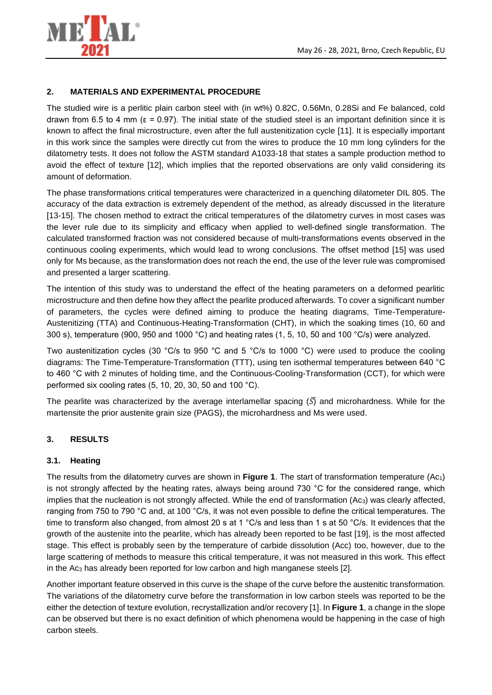



#### **2. MATERIALS AND EXPERIMENTAL PROCEDURE**

The studied wire is a perlitic plain carbon steel with (in wt%) 0.82C, 0.56Mn, 0.28Si and Fe balanced, cold drawn from 6.5 to 4 mm (ε = 0.97). The initial state of the studied steel is an important definition since it is known to affect the final microstructure, even after the full austenitization cycle [11]. It is especially important in this work since the samples were directly cut from the wires to produce the 10 mm long cylinders for the dilatometry tests. It does not follow the ASTM standard A1033-18 that states a sample production method to avoid the effect of texture [12], which implies that the reported observations are only valid considering its amount of deformation.

The phase transformations critical temperatures were characterized in a quenching dilatometer DIL 805. The accuracy of the data extraction is extremely dependent of the method, as already discussed in the literature [13-15]. The chosen method to extract the critical temperatures of the dilatometry curves in most cases was the lever rule due to its simplicity and efficacy when applied to well-defined single transformation. The calculated transformed fraction was not considered because of multi-transformations events observed in the continuous cooling experiments, which would lead to wrong conclusions. The offset method [15] was used only for Ms because, as the transformation does not reach the end, the use of the lever rule was compromised and presented a larger scattering.

The intention of this study was to understand the effect of the heating parameters on a deformed pearlitic microstructure and then define how they affect the pearlite produced afterwards. To cover a significant number of parameters, the cycles were defined aiming to produce the heating diagrams, Time-Temperature-Austenitizing (TTA) and Continuous-Heating-Transformation (CHT), in which the soaking times (10, 60 and 300 s), temperature (900, 950 and 1000 °C) and heating rates (1, 5, 10, 50 and 100 °C/s) were analyzed.

Two austenitization cycles (30 °C/s to 950 °C and 5 °C/s to 1000 °C) were used to produce the cooling diagrams: The Time-Temperature-Transformation (TTT), using ten isothermal temperatures between 640 °C to 460 °C with 2 minutes of holding time, and the Continuous-Cooling-Transformation (CCT), for which were performed six cooling rates (5, 10, 20, 30, 50 and 100 °C).

The pearlite was characterized by the average interlamellar spacing  $\overline{(S)}$  and microhardness. While for the martensite the prior austenite grain size (PAGS), the microhardness and Ms were used.

#### **3. RESULTS**

#### **3.1. Heating**

The results from the dilatometry curves are shown in **Figure 1**. The start of transformation temperature (Ac1) is not strongly affected by the heating rates, always being around 730 °C for the considered range, which implies that the nucleation is not strongly affected. While the end of transformation (Ac<sub>3</sub>) was clearly affected, ranging from 750 to 790 °C and, at 100 °C/s, it was not even possible to define the critical temperatures. The time to transform also changed, from almost 20 s at 1 °C/s and less than 1 s at 50 °C/s. It evidences that the growth of the austenite into the pearlite, which has already been reported to be fast [19], is the most affected stage. This effect is probably seen by the temperature of carbide dissolution (Acc) too, however, due to the large scattering of methods to measure this critical temperature, it was not measured in this work. This effect in the Ac<sup>3</sup> has already been reported for low carbon and high manganese steels [2].

Another important feature observed in this curve is the shape of the curve before the austenitic transformation. The variations of the dilatometry curve before the transformation in low carbon steels was reported to be the either the detection of texture evolution, recrystallization and/or recovery [1]. In **Figure 1**, a change in the slope can be observed but there is no exact definition of which phenomena would be happening in the case of high carbon steels.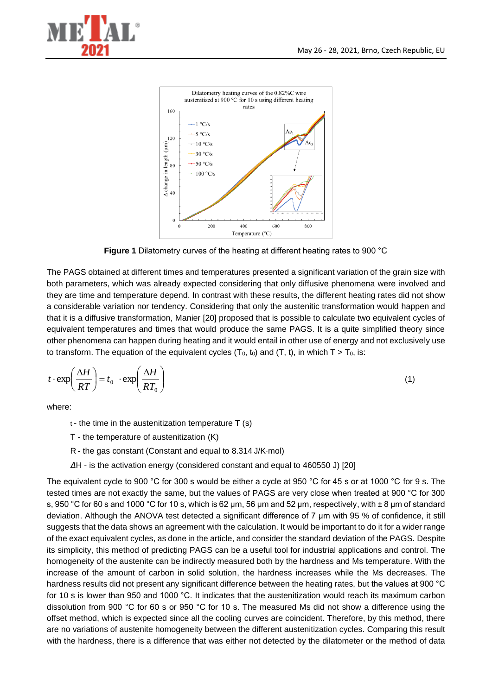



**Figure 1** Dilatometry curves of the heating at different heating rates to 900 °C

The PAGS obtained at different times and temperatures presented a significant variation of the grain size with both parameters, which was already expected considering that only diffusive phenomena were involved and they are time and temperature depend. In contrast with these results, the different heating rates did not show a considerable variation nor tendency. Considering that only the austenitic transformation would happen and that it is a diffusive transformation, Manier [20] proposed that is possible to calculate two equivalent cycles of equivalent temperatures and times that would produce the same PAGS. It is a quite simplified theory since other phenomena can happen during heating and it would entail in other use of energy and not exclusively use to transform. The equation of the equivalent cycles  $(T_0, t_0)$  and  $(T, t)$ , in which  $T > T_0$ , is:

$$
t \cdot \exp\left(\frac{\Delta H}{RT}\right) = t_0 \cdot \exp\left(\frac{\Delta H}{RT_0}\right) \tag{1}
$$

where:

 $t -$  the time in the austenitization temperature  $T(s)$ 

T - the temperature of austenitization (K)

R - the gas constant (Constant and equal to 8.314J/K⋅mol)

*Δ*H - is the activation energy (considered constant and equal to 460550 J) [20]

The equivalent cycle to 900 °C for 300 s would be either a cycle at 950 °C for 45 s or at 1000 °C for 9 s. The tested times are not exactly the same, but the values of PAGS are very close when treated at 900 °C for 300 s, 950 °C for 60 s and 1000 °C for 10 s, which is 62 µm, 56 µm and 52 µm, respectively, with ± 8 µm of standard deviation. Although the ANOVA test detected a significant difference of 7 µm with 95 % of confidence, it still suggests that the data shows an agreement with the calculation. It would be important to do it for a wider range of the exact equivalent cycles, as done in the article, and consider the standard deviation of the PAGS. Despite its simplicity, this method of predicting PAGS can be a useful tool for industrial applications and control. The homogeneity of the austenite can be indirectly measured both by the hardness and Ms temperature. With the increase of the amount of carbon in solid solution, the hardness increases while the Ms decreases. The hardness results did not present any significant difference between the heating rates, but the values at 900 °C for 10 s is lower than 950 and 1000 °C. It indicates that the austenitization would reach its maximum carbon dissolution from 900 °C for 60 s or 950 °C for 10 s. The measured Ms did not show a difference using the offset method, which is expected since all the cooling curves are coincident. Therefore, by this method, there are no variations of austenite homogeneity between the different austenitization cycles. Comparing this result with the hardness, there is a difference that was either not detected by the dilatometer or the method of data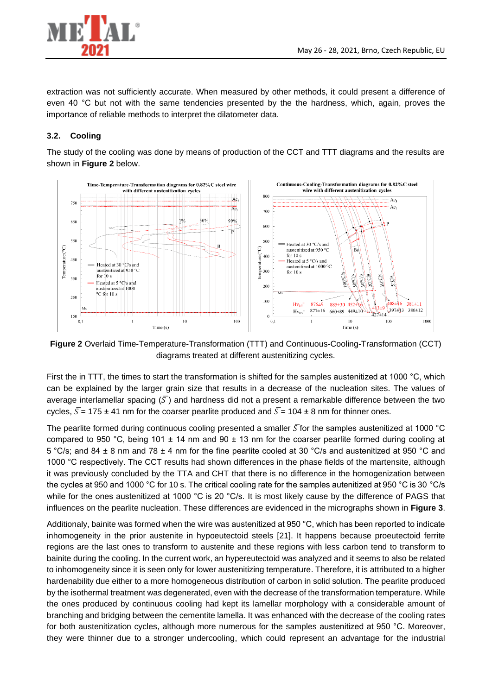

extraction was not sufficiently accurate. When measured by other methods, it could present a difference of even 40 °C but not with the same tendencies presented by the the hardness, which, again, proves the importance of reliable methods to interpret the dilatometer data.

### **3.2. Cooling**

The study of the cooling was done by means of production of the CCT and TTT diagrams and the results are shown in **Figure 2** below.



**Figure 2** Overlaid Time-Temperature-Transformation (TTT) and Continuous-Cooling-Transformation (CCT) diagrams treated at different austenitizing cycles.

First the in TTT, the times to start the transformation is shifted for the samples austenitized at 1000 °C, which can be explained by the larger grain size that results in a decrease of the nucleation sites. The values of average interlamellar spacing  $(\bar{S})$  and hardness did not a present a remarkable difference between the two cycles,  $\overline{S}$  = 175 ± 41 nm for the coarser pearlite produced and  $\overline{S}$  = 104 ± 8 nm for thinner ones.

The pearlite formed during continuous cooling presented a smaller  $\bar{S}$  for the samples austenitized at 1000 °C compared to 950 °C, being 101  $\pm$  14 nm and 90  $\pm$  13 nm for the coarser pearlite formed during cooling at 5 °C/s; and 84 ± 8 nm and 78 ± 4 nm for the fine pearlite cooled at 30 °C/s and austenitized at 950 °C and 1000 °C respectively. The CCT results had shown differences in the phase fields of the martensite, although it was previously concluded by the TTA and CHT that there is no difference in the homogenization between the cycles at 950 and 1000 °C for 10 s. The critical cooling rate for the samples autenitized at 950 °C is 30 °C/s while for the ones austenitized at 1000 °C is 20 °C/s. It is most likely cause by the difference of PAGS that influences on the pearlite nucleation. These differences are evidenced in the micrographs shown in **Figure 3**.

Additionaly, bainite was formed when the wire was austenitized at 950 °C, which has been reported to indicate inhomogeneity in the prior austenite in hypoeutectoid steels [21]. It happens because proeutectoid ferrite regions are the last ones to transform to austenite and these regions with less carbon tend to transform to bainite during the cooling. In the current work, an hypereutectoid was analyzed and it seems to also be related to inhomogeneity since it is seen only for lower austenitizing temperature. Therefore, it is attributed to a higher hardenability due either to a more homogeneous distribution of carbon in solid solution. The pearlite produced by the isothermal treatment was degenerated, even with the decrease of the transformation temperature. While the ones produced by continuous cooling had kept its lamellar morphology with a considerable amount of branching and bridging between the cementite lamella. It was enhanced with the decrease of the cooling rates for both austenitization cycles, although more numerous for the samples austenitized at 950 °C. Moreover, they were thinner due to a stronger undercooling, which could represent an advantage for the industrial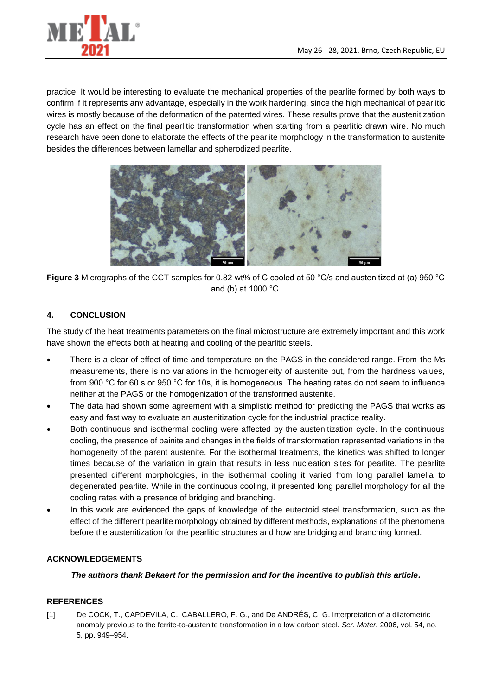

practice. It would be interesting to evaluate the mechanical properties of the pearlite formed by both ways to confirm if it represents any advantage, especially in the work hardening, since the high mechanical of pearlitic wires is mostly because of the deformation of the patented wires. These results prove that the austenitization cycle has an effect on the final pearlitic transformation when starting from a pearlitic drawn wire. No much research have been done to elaborate the effects of the pearlite morphology in the transformation to austenite besides the differences between lamellar and spherodized pearlite.



**Figure 3** Micrographs of the CCT samples for 0.82 wt% of C cooled at 50 °C/s and austenitized at (a) 950 °C and (b) at 1000 °C.

### **4. CONCLUSION**

The study of the heat treatments parameters on the final microstructure are extremely important and this work have shown the effects both at heating and cooling of the pearlitic steels.

- There is a clear of effect of time and temperature on the PAGS in the considered range. From the Ms measurements, there is no variations in the homogeneity of austenite but, from the hardness values, from 900 °C for 60 s or 950 °C for 10s, it is homogeneous. The heating rates do not seem to influence neither at the PAGS or the homogenization of the transformed austenite.
- The data had shown some agreement with a simplistic method for predicting the PAGS that works as easy and fast way to evaluate an austenitization cycle for the industrial practice reality.
- Both continuous and isothermal cooling were affected by the austenitization cycle. In the continuous cooling, the presence of bainite and changes in the fields of transformation represented variations in the homogeneity of the parent austenite. For the isothermal treatments, the kinetics was shifted to longer times because of the variation in grain that results in less nucleation sites for pearlite. The pearlite presented different morphologies, in the isothermal cooling it varied from long parallel lamella to degenerated pearlite. While in the continuous cooling, it presented long parallel morphology for all the cooling rates with a presence of bridging and branching.
- In this work are evidenced the gaps of knowledge of the eutectoid steel transformation, such as the effect of the different pearlite morphology obtained by different methods, explanations of the phenomena before the austenitization for the pearlitic structures and how are bridging and branching formed.

#### **ACKNOWLEDGEMENTS**

#### *The authors thank Bekaert for the permission and for the incentive to publish this article.*

#### **REFERENCES**

[1] De COCK, T., CAPDEVILA, C., CABALLERO, F. G., and De ANDRÉS, C. G. Interpretation of a dilatometric anomaly previous to the ferrite-to-austenite transformation in a low carbon steel. *Scr. Mater.* 2006, vol. 54, no. 5, pp. 949–954.